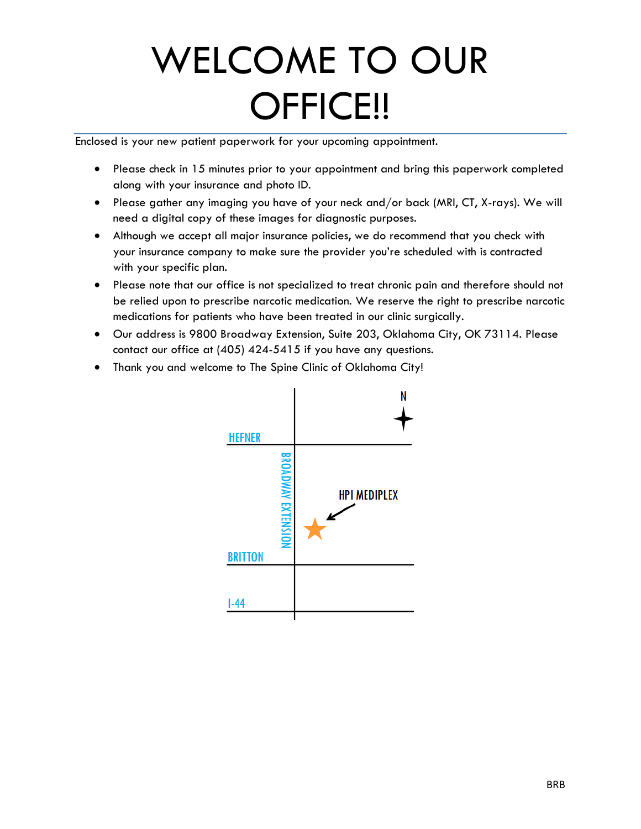# WELCOME TO OUR OFFICE!!

Enclosed is your new patient paperwork for your upcoming appointment.

- Please check in 15 minutes prior to your appointment and bring this paperwork completed along with your insurance and photo ID.
- Please gather any imaging you have of your neck and/or back (MRI, CT, X-rays). We will need a digital copy of these images for diagnostic purposes.
- Although we accept all major insurance policies, we do recommend that you check with your insurance company to make sure the provider you're scheduled with is contracted with your specific plan.
- Please note that our office is not specialized to treat chronic pain and therefore should not be relied upon to prescribe narcotic medication. We reserve the right to prescribe narcotic medications for patients who have been treated in our clinic surgically.
- Our address is 9800 Broadway Extension, Suite 203, Oklahoma City, OK 73114. Please contact our office at (405) 424-5415 if you have any questions.
- Thank you and welcome to The Spine Clinic of Oklahoma City!

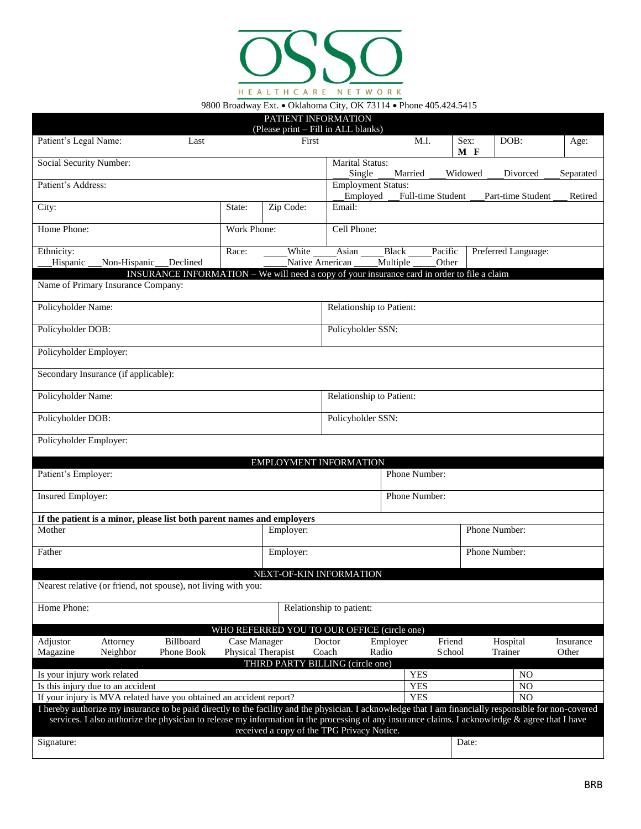

9800 Broadway Ext. . Oklahoma City, OK 73114 . Phone 405.424.5415

|                                                                                                                                                                                                                               |                                    | PATIENT INFORMATION<br>(Please print - Fill in ALL blanks) |                                       |                   |                   |                           |                     |                    |
|-------------------------------------------------------------------------------------------------------------------------------------------------------------------------------------------------------------------------------|------------------------------------|------------------------------------------------------------|---------------------------------------|-------------------|-------------------|---------------------------|---------------------|--------------------|
| Patient's Legal Name:<br>Last                                                                                                                                                                                                 |                                    | First                                                      |                                       | M.I.              |                   | $\overline{S}$ ex:<br>M F | DOB:                | Age:               |
| Social Security Number:                                                                                                                                                                                                       |                                    |                                                            | Marital Status:<br>Single             | Married           |                   | Widowed                   | Divorced            | Separated          |
| Patient's Address:                                                                                                                                                                                                            |                                    |                                                            | <b>Employment Status:</b><br>Employed |                   | Full-time Student |                           | Part-time Student   | Retired            |
| City:                                                                                                                                                                                                                         | State:                             | Zip Code:                                                  | Email:                                |                   |                   |                           |                     |                    |
| Home Phone:                                                                                                                                                                                                                   | Work Phone:                        |                                                            | Cell Phone:                           |                   |                   |                           |                     |                    |
| Ethnicity:<br>Hispanic<br>Non-Hispanic<br>Declined                                                                                                                                                                            | Race:                              | White<br>Native American                                   | Asian                                 | Black<br>Multiple | Pacific<br>Other  |                           | Preferred Language: |                    |
| INSURANCE INFORMATION - We will need a copy of your insurance card in order to file a claim                                                                                                                                   |                                    |                                                            |                                       |                   |                   |                           |                     |                    |
| Name of Primary Insurance Company:                                                                                                                                                                                            |                                    |                                                            |                                       |                   |                   |                           |                     |                    |
| Policyholder Name:                                                                                                                                                                                                            |                                    |                                                            | Relationship to Patient:              |                   |                   |                           |                     |                    |
| Policyholder DOB:                                                                                                                                                                                                             |                                    |                                                            | Policyholder SSN:                     |                   |                   |                           |                     |                    |
| Policyholder Employer:                                                                                                                                                                                                        |                                    |                                                            |                                       |                   |                   |                           |                     |                    |
| Secondary Insurance (if applicable):                                                                                                                                                                                          |                                    |                                                            |                                       |                   |                   |                           |                     |                    |
| Policyholder Name:                                                                                                                                                                                                            |                                    |                                                            | Relationship to Patient:              |                   |                   |                           |                     |                    |
| Policyholder DOB:                                                                                                                                                                                                             |                                    |                                                            | Policyholder SSN:                     |                   |                   |                           |                     |                    |
| Policyholder Employer:                                                                                                                                                                                                        |                                    |                                                            |                                       |                   |                   |                           |                     |                    |
|                                                                                                                                                                                                                               |                                    | EMPLOYMENT INFORMATION                                     |                                       |                   |                   |                           |                     |                    |
| Patient's Employer:                                                                                                                                                                                                           |                                    |                                                            |                                       | Phone Number:     |                   |                           |                     |                    |
| <b>Insured Employer:</b>                                                                                                                                                                                                      |                                    |                                                            |                                       | Phone Number:     |                   |                           |                     |                    |
| If the patient is a minor, please list both parent names and employers                                                                                                                                                        |                                    |                                                            |                                       |                   |                   |                           |                     |                    |
| Mother                                                                                                                                                                                                                        |                                    | Employer:                                                  |                                       |                   |                   |                           | Phone Number:       |                    |
| Father                                                                                                                                                                                                                        |                                    | Employer:                                                  |                                       |                   |                   |                           | Phone Number:       |                    |
|                                                                                                                                                                                                                               |                                    | NEXT-OF-KIN INFORMATION                                    |                                       |                   |                   |                           |                     |                    |
| Nearest relative (or friend, not spouse), not living with you:                                                                                                                                                                |                                    |                                                            |                                       |                   |                   |                           |                     |                    |
| Home Phone:                                                                                                                                                                                                                   |                                    |                                                            | Relationship to patient:              |                   |                   |                           |                     |                    |
|                                                                                                                                                                                                                               |                                    | WHO REFERRED YOU TO OUR OFFICE (circle one)                |                                       |                   |                   |                           |                     |                    |
| Billboard<br>Adjustor<br>Attorney<br>Magazine<br>Phone Book<br>Neighbor                                                                                                                                                       | Case Manager<br>Physical Therapist |                                                            | Doctor<br>Coach                       | Employer<br>Radio | Friend<br>School  |                           | Hospital<br>Trainer | Insurance<br>Other |
|                                                                                                                                                                                                                               |                                    | THIRD PARTY BILLING (circle one)                           |                                       |                   |                   |                           |                     |                    |
| Is your injury work related                                                                                                                                                                                                   |                                    |                                                            |                                       | <b>YES</b>        |                   |                           | N <sub>O</sub>      |                    |
| Is this injury due to an accident                                                                                                                                                                                             |                                    |                                                            |                                       | <b>YES</b>        |                   |                           | N <sub>O</sub>      |                    |
| If your injury is MVA related have you obtained an accident report?<br>I hereby authorize my insurance to be paid directly to the facility and the physician. I acknowledge that I am financially responsible for non-covered |                                    |                                                            |                                       | <b>YES</b>        |                   |                           | N <sub>O</sub>      |                    |
| services. I also authorize the physician to release my information in the processing of any insurance claims. I acknowledge & agree that I have                                                                               |                                    | received a copy of the TPG Privacy Notice.                 |                                       |                   |                   |                           |                     |                    |
| Signature:                                                                                                                                                                                                                    |                                    |                                                            |                                       |                   |                   | Date:                     |                     |                    |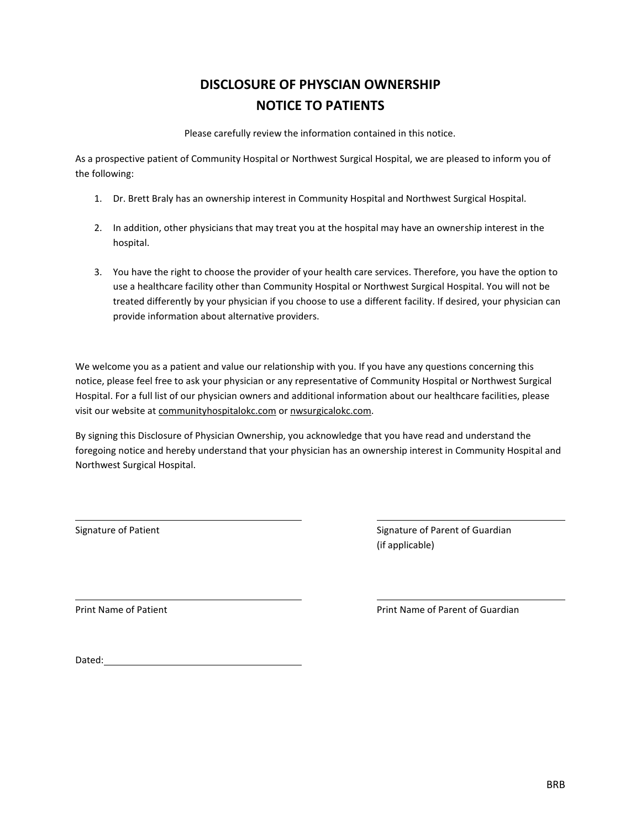# **DISCLOSURE OF PHYSCIAN OWNERSHIP NOTICE TO PATIENTS**

Please carefully review the information contained in this notice.

As a prospective patient of Community Hospital or Northwest Surgical Hospital, we are pleased to inform you of the following:

- 1. Dr. Brett Braly has an ownership interest in Community Hospital and Northwest Surgical Hospital.
- 2. In addition, other physicians that may treat you at the hospital may have an ownership interest in the hospital.
- 3. You have the right to choose the provider of your health care services. Therefore, you have the option to use a healthcare facility other than Community Hospital or Northwest Surgical Hospital. You will not be treated differently by your physician if you choose to use a different facility. If desired, your physician can provide information about alternative providers.

We welcome you as a patient and value our relationship with you. If you have any questions concerning this notice, please feel free to ask your physician or any representative of Community Hospital or Northwest Surgical Hospital. For a full list of our physician owners and additional information about our healthcare facilities, please visit our website at communityhospitalokc.com or nwsurgicalokc.com.

By signing this Disclosure of Physician Ownership, you acknowledge that you have read and understand the foregoing notice and hereby understand that your physician has an ownership interest in Community Hospital and Northwest Surgical Hospital.

Signature of Patient **Signature of Patient** Signature of Parent of Guardian (if applicable)

Print Name of Patient **Prince Access 2018** Print Name of Parent of Guardian

Dated: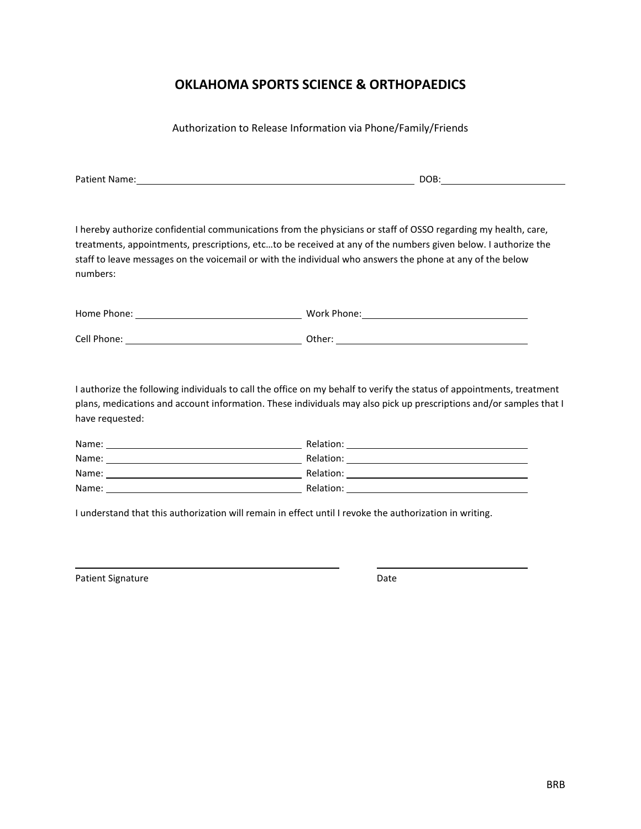### **OKLAHOMA SPORTS SCIENCE & ORTHOPAEDICS**

Authorization to Release Information via Phone/Family/Friends

Patient Name: Name: Name of the Contract of the Contract of the Contract of the DOB:

I hereby authorize confidential communications from the physicians or staff of OSSO regarding my health, care, treatments, appointments, prescriptions, etc…to be received at any of the numbers given below. I authorize the staff to leave messages on the voicemail or with the individual who answers the phone at any of the below numbers:

| Home Phone: | Work Phone: |
|-------------|-------------|
|             |             |
| Cell Phone: | Other:      |

I authorize the following individuals to call the office on my behalf to verify the status of appointments, treatment plans, medications and account information. These individuals may also pick up prescriptions and/or samples that I have requested:

| Name: | Relation: |
|-------|-----------|
| Name: | Relation: |
| Name: | Relation: |
| Name: | Relation: |

I understand that this authorization will remain in effect until I revoke the authorization in writing.

| Patient Signature | Date |
|-------------------|------|
|-------------------|------|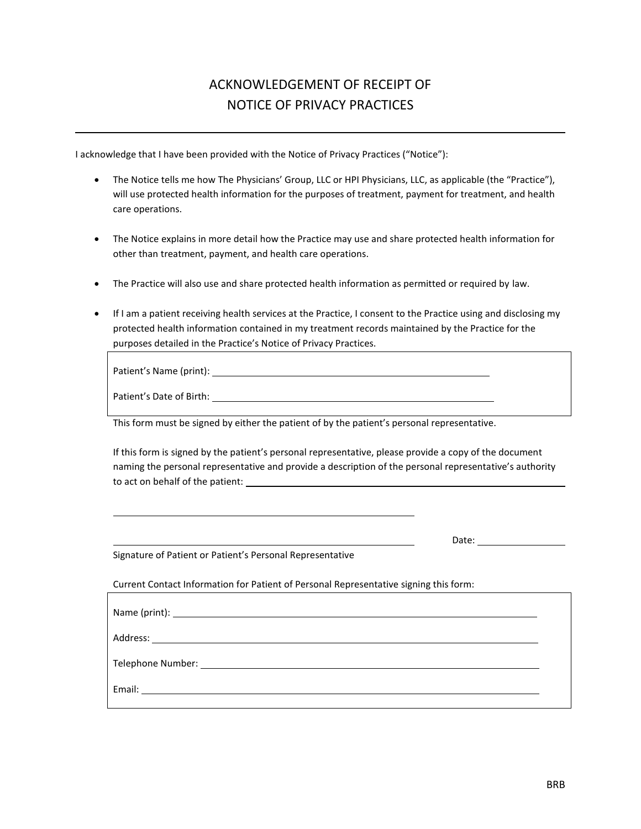# ACKNOWLEDGEMENT OF RECEIPT OF NOTICE OF PRIVACY PRACTICES

I acknowledge that I have been provided with the Notice of Privacy Practices ("Notice"):

- The Notice tells me how The Physicians' Group, LLC or HPI Physicians, LLC, as applicable (the "Practice"), will use protected health information for the purposes of treatment, payment for treatment, and health care operations.
- The Notice explains in more detail how the Practice may use and share protected health information for other than treatment, payment, and health care operations.
- The Practice will also use and share protected health information as permitted or required by law.
- If I am a patient receiving health services at the Practice, I consent to the Practice using and disclosing my protected health information contained in my treatment records maintained by the Practice for the purposes detailed in the Practice's Notice of Privacy Practices.

| Patient's Name (print): _____ |  |
|-------------------------------|--|
| Patient's Date of Birth:      |  |

This form must be signed by either the patient of by the patient's personal representative.

If this form is signed by the patient's personal representative, please provide a copy of the document naming the personal representative and provide a description of the personal representative's authority to act on behalf of the patient:

Date:

Signature of Patient or Patient's Personal Representative

Current Contact Information for Patient of Personal Representative signing this form:

| Email:<br><u> 1980 - Andrea Britain, politik eta politik eta politik eta politik eta politik eta politik eta politik eta p</u> |  |
|--------------------------------------------------------------------------------------------------------------------------------|--|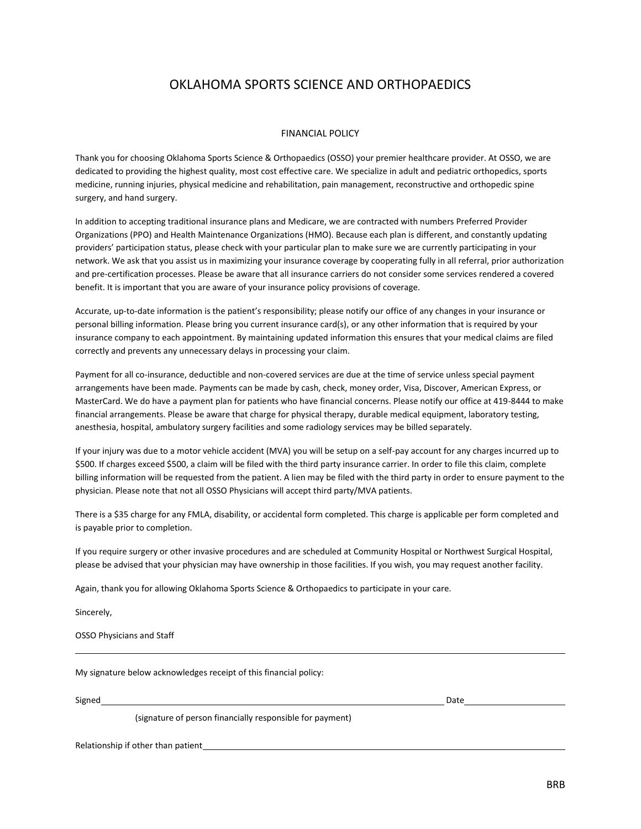### OKLAHOMA SPORTS SCIENCE AND ORTHOPAEDICS

#### FINANCIAL POLICY

Thank you for choosing Oklahoma Sports Science & Orthopaedics (OSSO) your premier healthcare provider. At OSSO, we are dedicated to providing the highest quality, most cost effective care. We specialize in adult and pediatric orthopedics, sports medicine, running injuries, physical medicine and rehabilitation, pain management, reconstructive and orthopedic spine surgery, and hand surgery.

In addition to accepting traditional insurance plans and Medicare, we are contracted with numbers Preferred Provider Organizations (PPO) and Health Maintenance Organizations (HMO). Because each plan is different, and constantly updating providers' participation status, please check with your particular plan to make sure we are currently participating in your network. We ask that you assist us in maximizing your insurance coverage by cooperating fully in all referral, prior authorization and pre-certification processes. Please be aware that all insurance carriers do not consider some services rendered a covered benefit. It is important that you are aware of your insurance policy provisions of coverage.

Accurate, up-to-date information is the patient's responsibility; please notify our office of any changes in your insurance or personal billing information. Please bring you current insurance card(s), or any other information that is required by your insurance company to each appointment. By maintaining updated information this ensures that your medical claims are filed correctly and prevents any unnecessary delays in processing your claim.

Payment for all co-insurance, deductible and non-covered services are due at the time of service unless special payment arrangements have been made. Payments can be made by cash, check, money order, Visa, Discover, American Express, or MasterCard. We do have a payment plan for patients who have financial concerns. Please notify our office at 419-8444 to make financial arrangements. Please be aware that charge for physical therapy, durable medical equipment, laboratory testing, anesthesia, hospital, ambulatory surgery facilities and some radiology services may be billed separately.

If your injury was due to a motor vehicle accident (MVA) you will be setup on a self-pay account for any charges incurred up to \$500. If charges exceed \$500, a claim will be filed with the third party insurance carrier. In order to file this claim, complete billing information will be requested from the patient. A lien may be filed with the third party in order to ensure payment to the physician. Please note that not all OSSO Physicians will accept third party/MVA patients.

There is a \$35 charge for any FMLA, disability, or accidental form completed. This charge is applicable per form completed and is payable prior to completion.

If you require surgery or other invasive procedures and are scheduled at Community Hospital or Northwest Surgical Hospital, please be advised that your physician may have ownership in those facilities. If you wish, you may request another facility.

Again, thank you for allowing Oklahoma Sports Science & Orthopaedics to participate in your care.

Sincerely,

OSSO Physicians and Staff

My signature below acknowledges receipt of this financial policy:

Signed Date

(signature of person financially responsible for payment)

Relationship if other than patient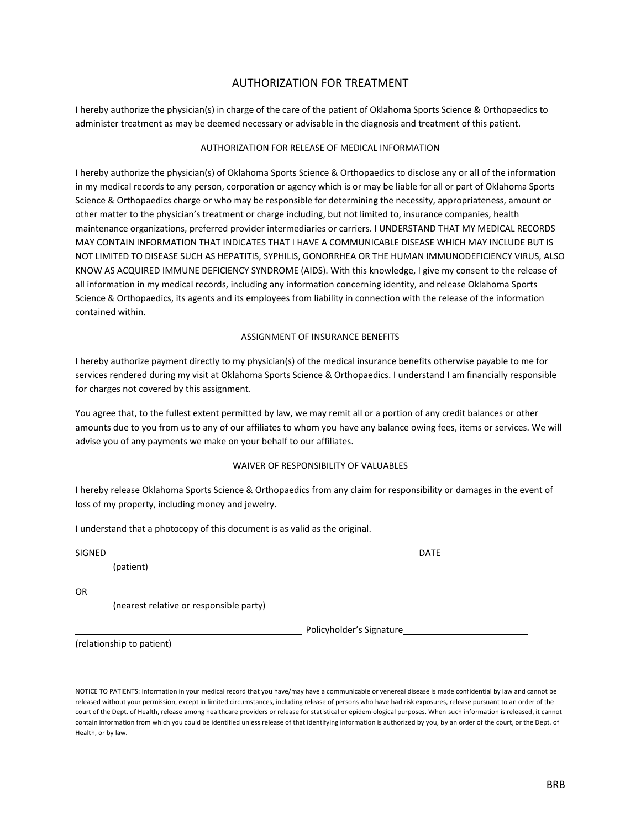#### AUTHORIZATION FOR TREATMENT

I hereby authorize the physician(s) in charge of the care of the patient of Oklahoma Sports Science & Orthopaedics to administer treatment as may be deemed necessary or advisable in the diagnosis and treatment of this patient.

#### AUTHORIZATION FOR RELEASE OF MEDICAL INFORMATION

I hereby authorize the physician(s) of Oklahoma Sports Science & Orthopaedics to disclose any or all of the information in my medical records to any person, corporation or agency which is or may be liable for all or part of Oklahoma Sports Science & Orthopaedics charge or who may be responsible for determining the necessity, appropriateness, amount or other matter to the physician's treatment or charge including, but not limited to, insurance companies, health maintenance organizations, preferred provider intermediaries or carriers. I UNDERSTAND THAT MY MEDICAL RECORDS MAY CONTAIN INFORMATION THAT INDICATES THAT I HAVE A COMMUNICABLE DISEASE WHICH MAY INCLUDE BUT IS NOT LIMITED TO DISEASE SUCH AS HEPATITIS, SYPHILIS, GONORRHEA OR THE HUMAN IMMUNODEFICIENCY VIRUS, ALSO KNOW AS ACQUIRED IMMUNE DEFICIENCY SYNDROME (AIDS). With this knowledge, I give my consent to the release of all information in my medical records, including any information concerning identity, and release Oklahoma Sports Science & Orthopaedics, its agents and its employees from liability in connection with the release of the information contained within.

#### ASSIGNMENT OF INSURANCE BENEFITS

I hereby authorize payment directly to my physician(s) of the medical insurance benefits otherwise payable to me for services rendered during my visit at Oklahoma Sports Science & Orthopaedics. I understand I am financially responsible for charges not covered by this assignment.

You agree that, to the fullest extent permitted by law, we may remit all or a portion of any credit balances or other amounts due to you from us to any of our affiliates to whom you have any balance owing fees, items or services. We will advise you of any payments we make on your behalf to our affiliates.

#### WAIVER OF RESPONSIBILITY OF VALUABLES

I hereby release Oklahoma Sports Science & Orthopaedics from any claim for responsibility or damages in the event of loss of my property, including money and jewelry.

I understand that a photocopy of this document is as valid as the original.

| SIGNED |                                         |                          | <b>DATE</b> |
|--------|-----------------------------------------|--------------------------|-------------|
|        | (patient)                               |                          |             |
|        |                                         |                          |             |
| OR     |                                         |                          |             |
|        | (nearest relative or responsible party) |                          |             |
|        |                                         | Policyholder's Signature |             |

(relationship to patient)

NOTICE TO PATIENTS: Information in your medical record that you have/may have a communicable or venereal disease is made confidential by law and cannot be released without your permission, except in limited circumstances, including release of persons who have had risk exposures, release pursuant to an order of the court of the Dept. of Health, release among healthcare providers or release for statistical or epidemiological purposes. When such information is released, it cannot contain information from which you could be identified unless release of that identifying information is authorized by you, by an order of the court, or the Dept. of Health, or by law.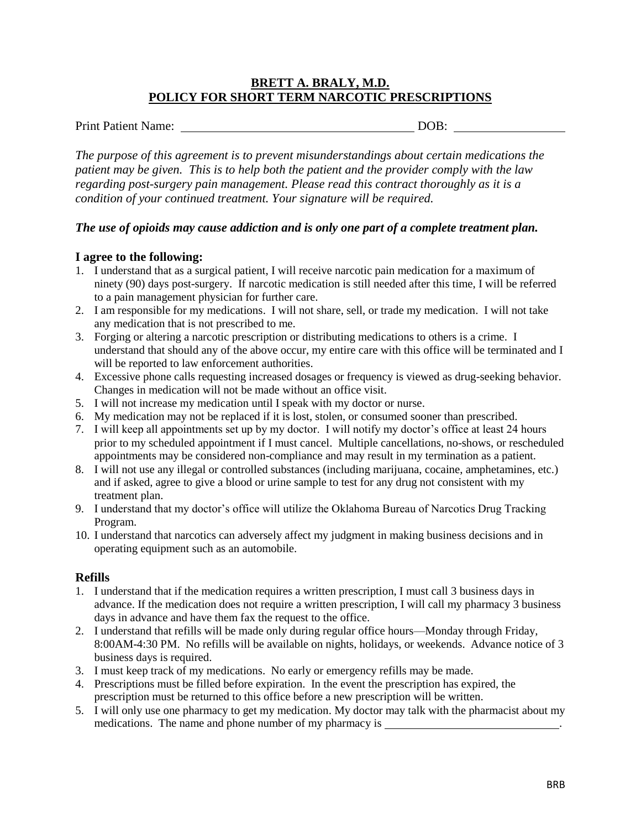#### **BRETT A. BRALY, M.D. POLICY FOR SHORT TERM NARCOTIC PRESCRIPTIONS**

Print Patient Name: DOB:

*The purpose of this agreement is to prevent misunderstandings about certain medications the patient may be given. This is to help both the patient and the provider comply with the law regarding post-surgery pain management. Please read this contract thoroughly as it is a condition of your continued treatment. Your signature will be required.*

#### *The use of opioids may cause addiction and is only one part of a complete treatment plan.*

#### **I agree to the following:**

- 1. I understand that as a surgical patient, I will receive narcotic pain medication for a maximum of ninety (90) days post-surgery. If narcotic medication is still needed after this time, I will be referred to a pain management physician for further care.
- 2. I am responsible for my medications. I will not share, sell, or trade my medication. I will not take any medication that is not prescribed to me.
- 3. Forging or altering a narcotic prescription or distributing medications to others is a crime. I understand that should any of the above occur, my entire care with this office will be terminated and I will be reported to law enforcement authorities.
- 4. Excessive phone calls requesting increased dosages or frequency is viewed as drug-seeking behavior. Changes in medication will not be made without an office visit.
- 5. I will not increase my medication until I speak with my doctor or nurse.
- 6. My medication may not be replaced if it is lost, stolen, or consumed sooner than prescribed.
- 7. I will keep all appointments set up by my doctor. I will notify my doctor's office at least 24 hours prior to my scheduled appointment if I must cancel. Multiple cancellations, no-shows, or rescheduled appointments may be considered non-compliance and may result in my termination as a patient.
- 8. I will not use any illegal or controlled substances (including marijuana, cocaine, amphetamines, etc.) and if asked, agree to give a blood or urine sample to test for any drug not consistent with my treatment plan.
- 9. I understand that my doctor's office will utilize the Oklahoma Bureau of Narcotics Drug Tracking Program.
- 10. I understand that narcotics can adversely affect my judgment in making business decisions and in operating equipment such as an automobile.

#### **Refills**

- 1. I understand that if the medication requires a written prescription, I must call 3 business days in advance. If the medication does not require a written prescription, I will call my pharmacy 3 business days in advance and have them fax the request to the office.
- 2. I understand that refills will be made only during regular office hours—Monday through Friday, 8:00AM-4:30 PM. No refills will be available on nights, holidays, or weekends. Advance notice of 3 business days is required.
- 3. I must keep track of my medications. No early or emergency refills may be made.
- 4. Prescriptions must be filled before expiration. In the event the prescription has expired, the prescription must be returned to this office before a new prescription will be written.
- 5. I will only use one pharmacy to get my medication. My doctor may talk with the pharmacist about my medications. The name and phone number of my pharmacy is \_\_\_\_\_\_\_\_\_\_\_\_\_\_\_\_\_\_\_\_\_\_\_\_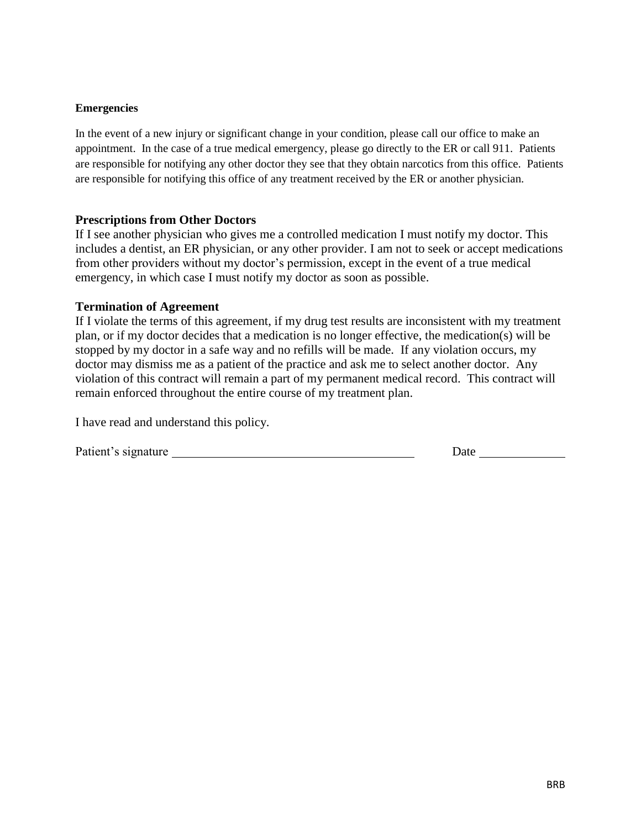#### **Emergencies**

In the event of a new injury or significant change in your condition, please call our office to make an appointment. In the case of a true medical emergency, please go directly to the ER or call 911. Patients are responsible for notifying any other doctor they see that they obtain narcotics from this office. Patients are responsible for notifying this office of any treatment received by the ER or another physician.

#### **Prescriptions from Other Doctors**

If I see another physician who gives me a controlled medication I must notify my doctor. This includes a dentist, an ER physician, or any other provider. I am not to seek or accept medications from other providers without my doctor's permission, except in the event of a true medical emergency, in which case I must notify my doctor as soon as possible.

#### **Termination of Agreement**

If I violate the terms of this agreement, if my drug test results are inconsistent with my treatment plan, or if my doctor decides that a medication is no longer effective, the medication(s) will be stopped by my doctor in a safe way and no refills will be made. If any violation occurs, my doctor may dismiss me as a patient of the practice and ask me to select another doctor. Any violation of this contract will remain a part of my permanent medical record. This contract will remain enforced throughout the entire course of my treatment plan.

I have read and understand this policy.

Patient's signature Date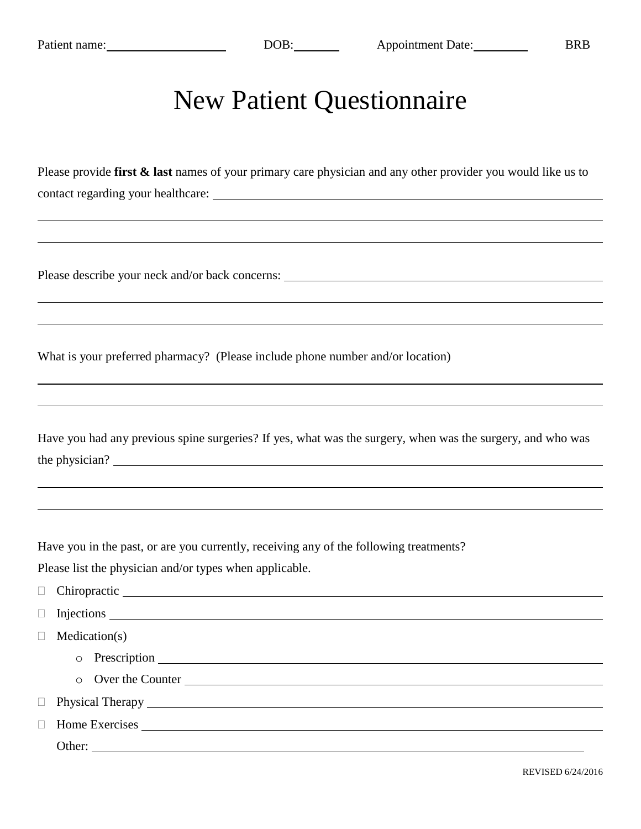# New Patient Questionnaire

Please provide **first & last** names of your primary care physician and any other provider you would like us to contact regarding your healthcare:

Please describe your neck and/or back concerns:

What is your preferred pharmacy? (Please include phone number and/or location)

|                |  | Have you had any previous spine surgeries? If yes, what was the surgery, when was the surgery, and who was |  |  |
|----------------|--|------------------------------------------------------------------------------------------------------------|--|--|
| the physician? |  |                                                                                                            |  |  |

Have you in the past, or are you currently, receiving any of the following treatments? Please list the physician and/or types when applicable.

| $\Box$ |                    |
|--------|--------------------|
|        |                    |
|        | Medication(s)      |
|        |                    |
|        | o Over the Counter |
|        |                    |
|        |                    |
|        | Other:             |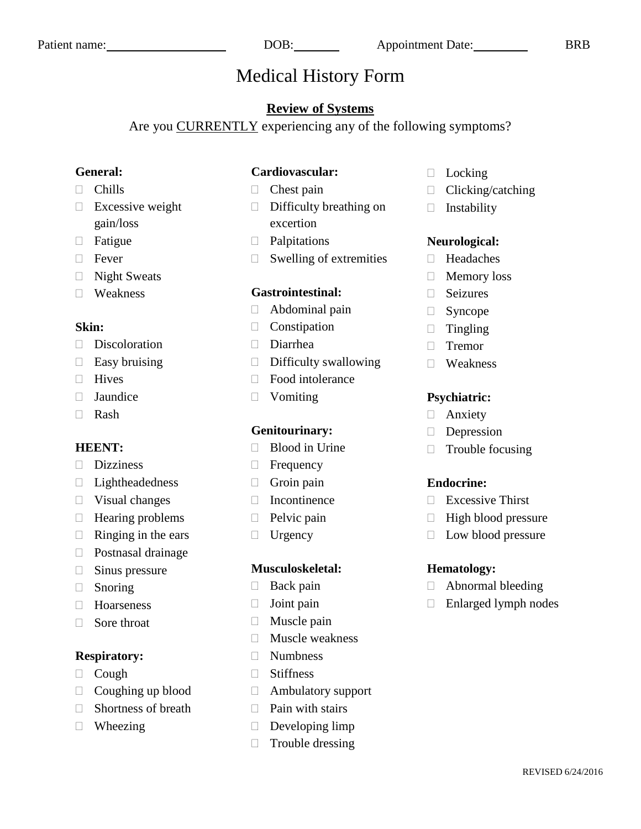# Medical History Form

#### **Review of Systems**

Are you CURRENTLY experiencing any of the following symptoms?

#### **General:**

#### Chills

- $\Box$  Excessive weight gain/loss
- Fatigue
- □ Fever
- □ Night Sweats
- Weakness

#### **Skin:**

- Discoloration
- $\Box$  Easy bruising
- **Hives**
- **Jaundice**
- Rash

#### **HEENT:**

- Dizziness
- Lightheadedness
- $\Box$  Visual changes
- $\Box$  Hearing problems
- $\Box$  Ringing in the ears
- Postnasal drainage
- $\Box$  Sinus pressure
- Snoring
- □ Hoarseness
- $\Box$  Sore throat

#### **Respiratory:**

- $\Box$  Cough
- $\Box$  Coughing up blood
- $\Box$  Shortness of breath
- □ Wheezing

#### **Cardiovascular:**

- $\Box$  Chest pain
- $\Box$  Difficulty breathing on excertion
- **Palpitations**
- $\Box$  Swelling of extremities

#### **Gastrointestinal:**

- Abdominal pain
- Constipation
- Diarrhea
- $\Box$  Difficulty swallowing
- □ Food intolerance
- □ Vomiting

#### **Genitourinary:**

- $\Box$  Blood in Urine
- **Frequency**
- $\Box$  Groin pain
- Incontinence
- $\Box$  Pelvic pain
- $\Box$  Urgency

#### **Musculoskeletal:**

- $\Box$  Back pain
- $\Box$  Joint pain
- $\Box$  Muscle pain
- $\Box$  Muscle weakness
- Numbness
- □ Stiffness
- Ambulatory support
- $\Box$  Pain with stairs
- $\Box$  Developing limp
- $\Box$  Trouble dressing
- D Locking
- $\Box$  Clicking/catching
- $\Box$  Instability

#### **Neurological:**

- Headaches
- **Memory loss**
- Seizures
- $\Box$  Syncope
- $\Box$  Tingling
- Tremor
- Weakness

#### **Psychiatric:**

- Anxiety
- Depression
- $\Box$  Trouble focusing

#### **Endocrine:**

- Excessive Thirst
- $\Box$  High blood pressure
- Low blood pressure

#### **Hematology:**

- Abnormal bleeding
- □ Enlarged lymph nodes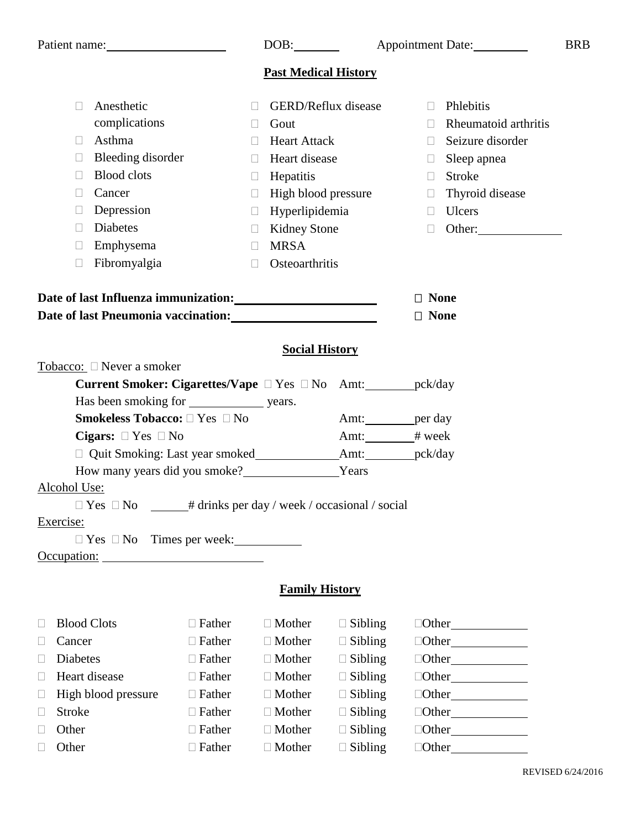|        | Patient name:                                                                      |                                                                                                                      | DOB:                        |                            |                   | Appointment Date:    | <b>BRB</b> |
|--------|------------------------------------------------------------------------------------|----------------------------------------------------------------------------------------------------------------------|-----------------------------|----------------------------|-------------------|----------------------|------------|
|        |                                                                                    |                                                                                                                      | <b>Past Medical History</b> |                            |                   |                      |            |
|        | Anesthetic<br>$\Box$                                                               | $\Box$                                                                                                               |                             | <b>GERD/Reflux disease</b> | П                 | Phlebitis            |            |
|        | complications                                                                      | $\Box$                                                                                                               | Gout                        |                            |                   | Rheumatoid arthritis |            |
|        | Asthma<br>$\Box$                                                                   | $\Box$                                                                                                               | <b>Heart Attack</b>         |                            | $\Box$            | Seizure disorder     |            |
|        | Bleeding disorder<br>⊔                                                             | $\Box$                                                                                                               | Heart disease               |                            | ⊔                 | Sleep apnea          |            |
|        | <b>Blood</b> clots<br>$\Box$                                                       | $\Box$                                                                                                               | Hepatitis                   |                            | $\Box$            | Stroke               |            |
|        | Cancer<br>$\Box$                                                                   | $\Box$                                                                                                               | High blood pressure         |                            | $\Box$            | Thyroid disease      |            |
|        | Depression<br>L                                                                    | $\Box$                                                                                                               | Hyperlipidemia              |                            | $\Box$            | Ulcers               |            |
|        | <b>Diabetes</b><br>$\Box$                                                          | $\mathbf{1}$                                                                                                         | <b>Kidney Stone</b>         |                            | $\Box$            | Other:               |            |
|        | Emphysema<br>$\Box$                                                                | $\Box$                                                                                                               | <b>MRSA</b>                 |                            |                   |                      |            |
|        | Fibromyalgia<br>$\Box$                                                             | П                                                                                                                    | Osteoarthritis              |                            |                   |                      |            |
|        | Date of last Influenza immunization:                                               |                                                                                                                      |                             |                            | $\Box$ None       |                      |            |
|        | Date of last Pneumonia vaccination:<br><u>Date of last Pneumonia vaccination</u> : |                                                                                                                      |                             |                            | $\Box$ None       |                      |            |
|        |                                                                                    |                                                                                                                      |                             |                            |                   |                      |            |
|        | Tobacco: □ Never a smoker                                                          |                                                                                                                      | <b>Social History</b>       |                            |                   |                      |            |
|        | Current Smoker: Cigarettes/Vape □ Yes □ No Amt: ________ pck/day                   |                                                                                                                      |                             |                            |                   |                      |            |
|        |                                                                                    |                                                                                                                      |                             |                            |                   |                      |            |
|        | Smokeless Tobacco: □ Yes □ No                                                      |                                                                                                                      |                             | Amt: __________ per day    |                   |                      |            |
|        | Cigars: $\Box$ Yes $\Box$ No                                                       |                                                                                                                      |                             | Amt: # week                |                   |                      |            |
|        |                                                                                    |                                                                                                                      |                             | Amt: ___________pck/day    |                   |                      |            |
|        | How many years did you smoke?                                                      |                                                                                                                      |                             | Years                      |                   |                      |            |
|        | Alcohol Use:                                                                       |                                                                                                                      |                             |                            |                   |                      |            |
|        | $\Box$ Yes $\Box$ No                                                               | # drinks per day / week / occasional / social                                                                        |                             |                            |                   |                      |            |
|        | Exercise:                                                                          |                                                                                                                      |                             |                            |                   |                      |            |
|        | $\Box$ Yes $\Box$ No Times per week:                                               |                                                                                                                      |                             |                            |                   |                      |            |
|        | Occupation:                                                                        | <u> 1980 - Jan Stein Stein Stein Stein Stein Stein Stein Stein Stein Stein Stein Stein Stein Stein Stein Stein S</u> |                             |                            |                   |                      |            |
|        |                                                                                    |                                                                                                                      | <b>Family History</b>       |                            |                   |                      |            |
| $\Box$ | <b>Blood Clots</b>                                                                 | $\Box$ Father                                                                                                        | $\Box$ Mother               | $\Box$ Sibling             |                   | $\Box$ Other $\Box$  |            |
| $\Box$ | Cancer                                                                             | $\Box$ Father                                                                                                        | $\Box$ Mother               | $\Box$ Sibling             |                   | $\Box$ Other $\Box$  |            |
| $\Box$ | Diabetes                                                                           | $\Box$ Father                                                                                                        | $\Box$ Mother               | $\Box$ Sibling             |                   | $\Box$ Other $\Box$  |            |
| $\Box$ | Heart disease                                                                      | $\Box$ Father                                                                                                        | $\Box$ Mother               | $\Box$ Sibling             |                   | $\Box$ Other $\Box$  |            |
| $\Box$ | High blood pressure                                                                | $\Box$ Father                                                                                                        | $\Box$ Mother               | $\Box$ Sibling             |                   | $\Box$ Other $\Box$  |            |
| Ш      | <b>Stroke</b>                                                                      | $\Box$ Father                                                                                                        | $\Box$ Mother               | $\Box$ Sibling             |                   | $\Box$ Other $\Box$  |            |
| $\Box$ | Other                                                                              | $\Box$ Father                                                                                                        | $\Box$ Mother               | $\Box$ Sibling             |                   |                      |            |
|        | Other                                                                              | $\Box$ Father                                                                                                        | $\Box$ Mother               | $\Box$ Sibling             | $\Box$ Other $\_$ |                      |            |

REVISED 6/24/2016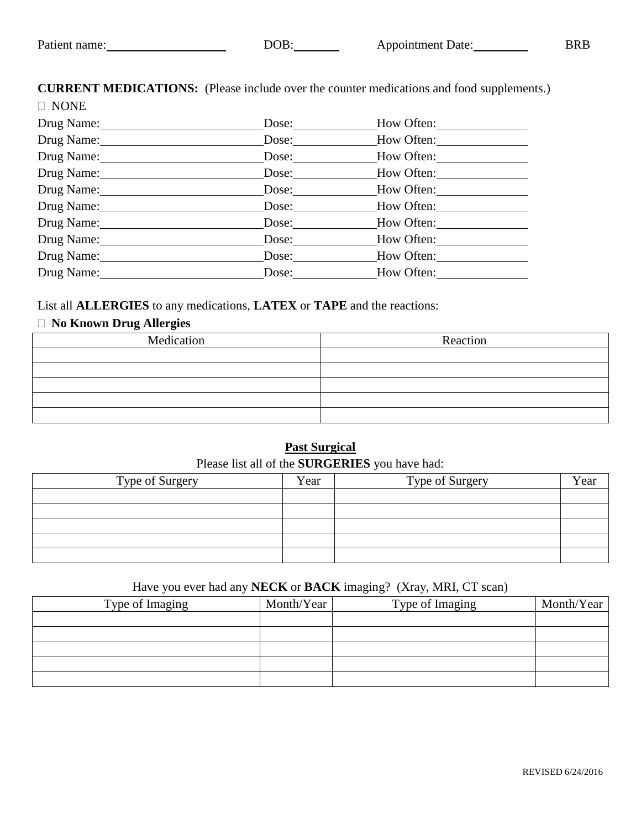**CURRENT MEDICATIONS:** (Please include over the counter medications and food supplements.)

| $\Box$ NONE |                       |            |
|-------------|-----------------------|------------|
| Drug Name:  | Dose:                 | How Often: |
| Drug Name:  | Dose:                 | How Often: |
| Drug Name:  | Dose: $\qquad \qquad$ | How Often: |
| Drug Name:  | Dose:                 | How Often: |
| Drug Name:  | Dose:                 | How Often: |
| Drug Name:  | Dose:                 | How Often: |
| Drug Name:  | Dose:                 | How Often: |
| Drug Name:  | Dose:                 | How Often: |
| Drug Name:  | Dose:                 | How Often: |
| Drug Name:  | Dose:                 | How Often: |

List all **ALLERGIES** to any medications, **LATEX** or **TAPE** and the reactions:

#### **No Known Drug Allergies**

| Medication | Reaction |
|------------|----------|
|            |          |
|            |          |
|            |          |
|            |          |
|            |          |

#### **Past Surgical** Please list all of the **SURGERIES** you have had:

|                 |      | ╯               |      |
|-----------------|------|-----------------|------|
| Type of Surgery | Year | Type of Surgery | Year |
|                 |      |                 |      |
|                 |      |                 |      |
|                 |      |                 |      |
|                 |      |                 |      |
|                 |      |                 |      |

#### Have you ever had any **NECK** or **BACK** imaging? (Xray, MRI, CT scan)

| Type of Imaging | Month/Year | Type of Imaging | Month/Year |
|-----------------|------------|-----------------|------------|
|                 |            |                 |            |
|                 |            |                 |            |
|                 |            |                 |            |
|                 |            |                 |            |
|                 |            |                 |            |